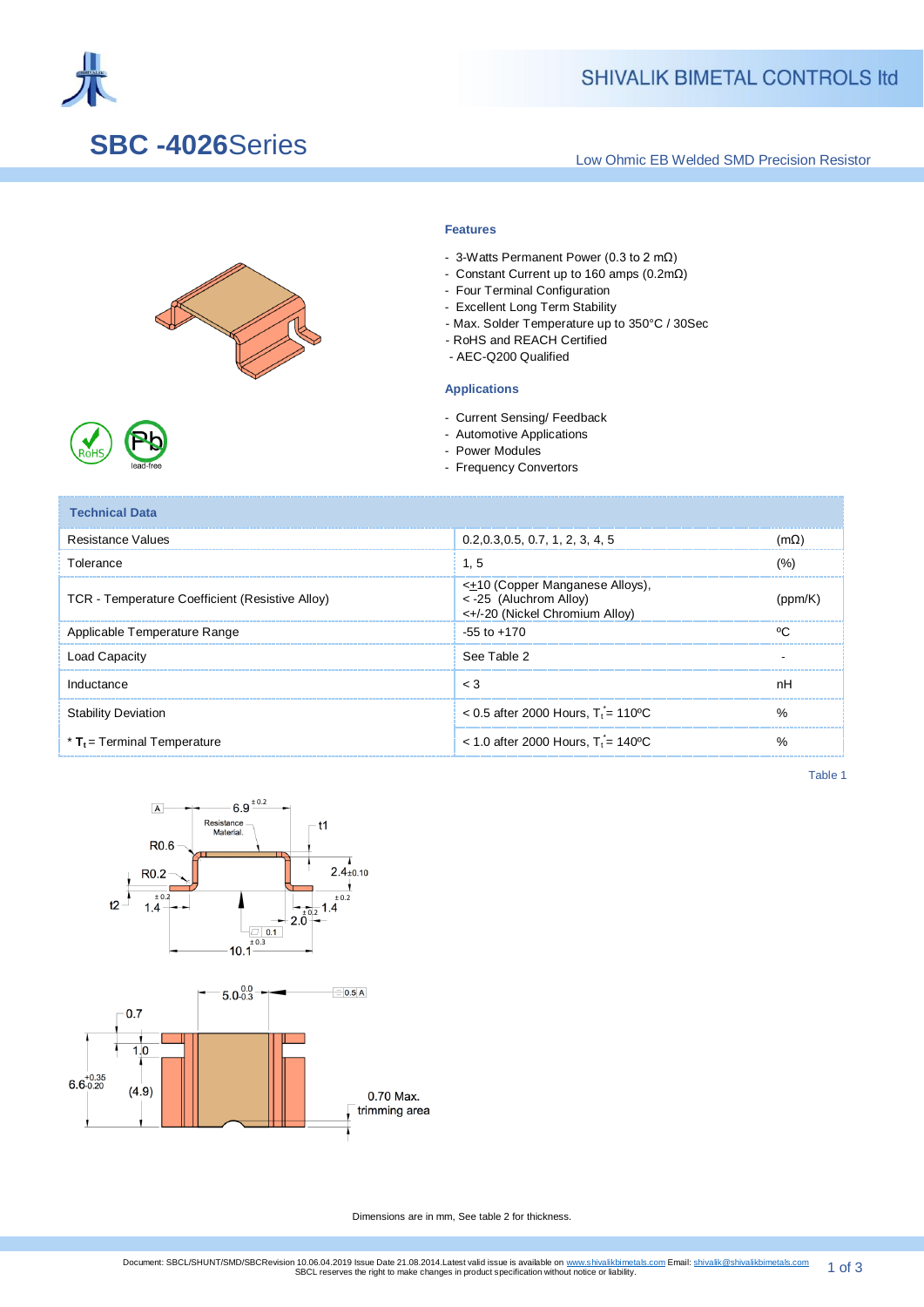

## **SHIVALIK BIMETAL CONTROLS Itd**

## **SBC -4026**Series

Low Ohmic EB Welded SMD Precision Resistor



### **Features**

- 3-Watts Permanent Power (0.3 to 2 mΩ)
- Constant Current up to 160 amps (0.2mΩ)
- Four Terminal Configuration
- Excellent Long Term Stability
- Max. Solder Temperature up to 350°C / 30Sec
- RoHS and REACH Certified
- AEC-Q200 Qualified

### **Applications**

- Current Sensing/ Feedback
- Automotive Applications
- Power Modules
- Frequency Convertors

| <b>Technical Data</b>                           |                                                                                                          |        |  |  |
|-------------------------------------------------|----------------------------------------------------------------------------------------------------------|--------|--|--|
| Resistance Values                               | 0.2, 0.3, 0.5, 0.7, 1, 2, 3, 4, 5                                                                        | 'nΩ    |  |  |
| Tolerance                                       | 1.5                                                                                                      | (%)    |  |  |
| TCR - Temperature Coefficient (Resistive Alloy) | < <del>±</del> 10 (Copper Manganese Alloys),<br>< -25 (Aluchrom Alloy)<br><+/-20 (Nickel Chromium Alloy) | nnm/   |  |  |
| Applicable Temperature Range                    | $-55$ to $+170$                                                                                          | $\sim$ |  |  |
| Load Capacity                                   | See Table 2                                                                                              |        |  |  |
| Inductance                                      | $\leq 3$                                                                                                 | nH     |  |  |
| <b>Stability Deviation</b>                      | $< 0.5$ after 2000 Hours, $Ti = 110^{\circ}$ C                                                           | $\%$   |  |  |
| $*$ T <sub>t</sub> = Terminal Temperature       | $<$ 1.0 after 2000 Hours. T <sub>t</sub> = 140 °C                                                        |        |  |  |

Table 1



Dimensions are in mm, See table 2 for thickness.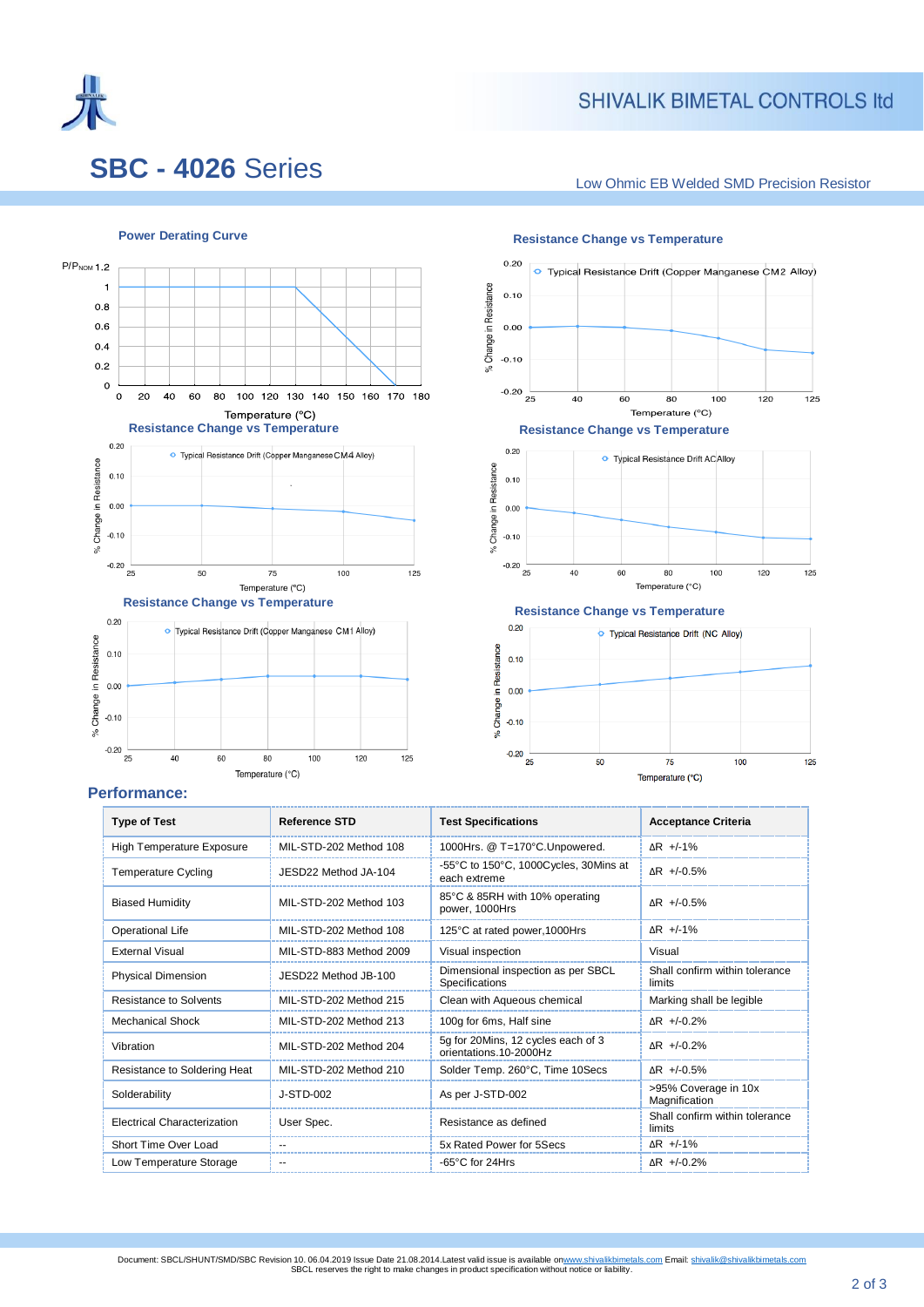

## **SHIVALIK BIMETAL CONTROLS Itd**

# **SBC - 4026** Series

Low Ohmic EB Welded SMD Precision Resistor







### **Performance:**

| <b>Type of Test</b>                                        | <b>Reference STD</b>    | <b>Test Specifications</b>                                   | <b>Acceptance Criteria</b>               |  |  |
|------------------------------------------------------------|-------------------------|--------------------------------------------------------------|------------------------------------------|--|--|
| <b>High Temperature Exposure</b><br>MIL-STD-202 Method 108 |                         | 1000Hrs. @ T=170°C.Unpowered.                                | $\Delta$ R +/-1%                         |  |  |
| <b>Temperature Cycling</b>                                 | JESD22 Method JA-104    | -55°C to 150°C, 1000Cycles, 30Mins at<br>each extreme        | $AR$ +/-0.5%                             |  |  |
| MIL-STD-202 Method 103<br><b>Biased Humidity</b>           |                         | 85°C & 85RH with 10% operating<br>power, 1000Hrs             | $AR + -0.5%$                             |  |  |
| Operational Life                                           | MIL-STD-202 Method 108  |                                                              | $\triangle$ R +/-1%                      |  |  |
| <b>External Visual</b>                                     | MIL-STD-883 Method 2009 | Visual inspection                                            | Visual                                   |  |  |
| Physical Dimension<br>JESD22 Method JB-100                 |                         | Dimensional inspection as per SBCL<br>Specifications         | Shall confirm within tolerance<br>limits |  |  |
| <b>Resistance to Solvents</b>                              | MIL-STD-202 Method 215  | Clean with Aqueous chemical                                  | Marking shall be legible                 |  |  |
| <b>Mechanical Shock</b>                                    | MIL-STD-202 Method 213  | 100g for 6ms, Half sine                                      | $AR +1.0.2%$                             |  |  |
| Vibration                                                  | MIL-STD-202 Method 204  | 5g for 20Mins, 12 cycles each of 3<br>orientations.10-2000Hz | $AR$ +/-0.2%                             |  |  |
| Resistance to Soldering Heat                               | MIL-STD-202 Method 210  | Solder Temp. 260°C, Time 10Secs                              | $AR + -0.5%$                             |  |  |
| Solderability                                              | $J-STD-002$             | As per J-STD-002                                             | >95% Coverage in 10x<br>Magnification    |  |  |
| <b>Electrical Characterization</b>                         | User Spec.              | Resistance as defined                                        | Shall confirm within tolerance<br>limits |  |  |
| Short Time Over Load                                       |                         | 5x Rated Power for 5Secs                                     | $\Delta$ R +/-1%                         |  |  |
| Low Temperature Storage                                    | --                      | -65°C for 24Hrs                                              | $AR$ +/-0.2%                             |  |  |